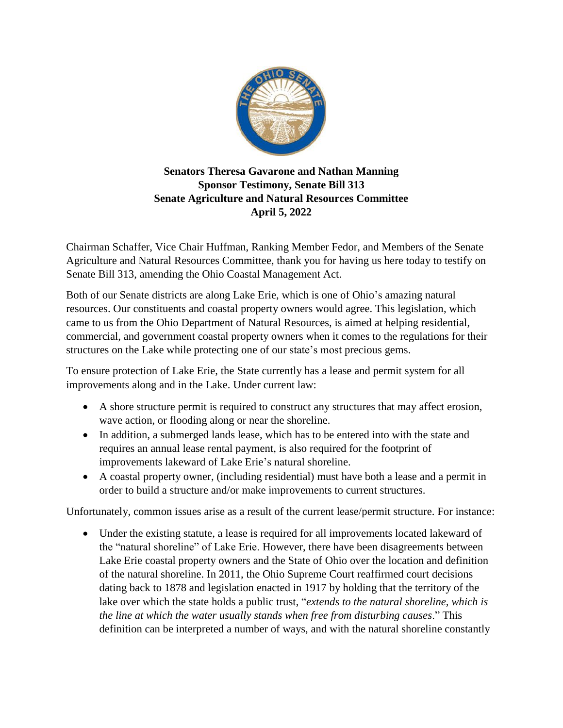

## **Senators Theresa Gavarone and Nathan Manning Sponsor Testimony, Senate Bill 313 Senate Agriculture and Natural Resources Committee April 5, 2022**

Chairman Schaffer, Vice Chair Huffman, Ranking Member Fedor, and Members of the Senate Agriculture and Natural Resources Committee, thank you for having us here today to testify on Senate Bill 313, amending the Ohio Coastal Management Act.

Both of our Senate districts are along Lake Erie, which is one of Ohio's amazing natural resources. Our constituents and coastal property owners would agree. This legislation, which came to us from the Ohio Department of Natural Resources, is aimed at helping residential, commercial, and government coastal property owners when it comes to the regulations for their structures on the Lake while protecting one of our state's most precious gems.

To ensure protection of Lake Erie, the State currently has a lease and permit system for all improvements along and in the Lake. Under current law:

- A shore structure permit is required to construct any structures that may affect erosion, wave action, or flooding along or near the shoreline.
- In addition, a submerged lands lease, which has to be entered into with the state and requires an annual lease rental payment, is also required for the footprint of improvements lakeward of Lake Erie's natural shoreline.
- A coastal property owner, (including residential) must have both a lease and a permit in order to build a structure and/or make improvements to current structures.

Unfortunately, common issues arise as a result of the current lease/permit structure. For instance:

 Under the existing statute, a lease is required for all improvements located lakeward of the "natural shoreline" of Lake Erie. However, there have been disagreements between Lake Erie coastal property owners and the State of Ohio over the location and definition of the natural shoreline. In 2011, the Ohio Supreme Court reaffirmed court decisions dating back to 1878 and legislation enacted in 1917 by holding that the territory of the lake over which the state holds a public trust, "*extends to the natural shoreline, which is the line at which the water usually stands when free from disturbing causes*." This definition can be interpreted a number of ways, and with the natural shoreline constantly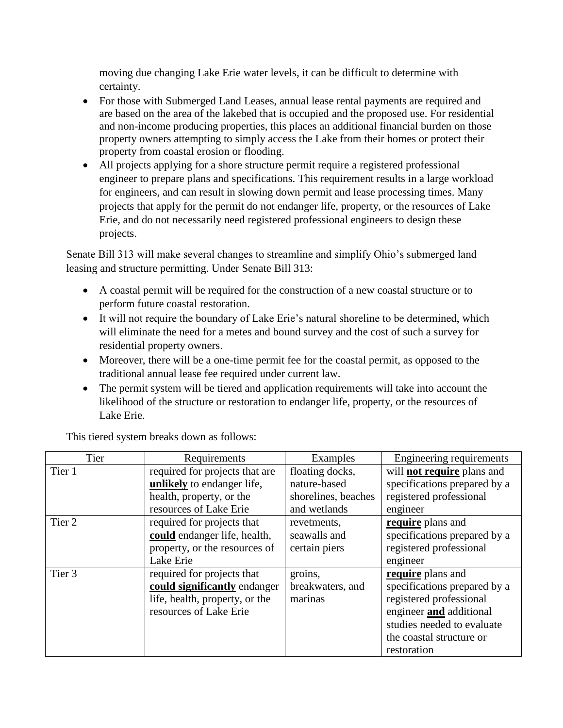moving due changing Lake Erie water levels, it can be difficult to determine with certainty.

- For those with Submerged Land Leases, annual lease rental payments are required and are based on the area of the lakebed that is occupied and the proposed use. For residential and non-income producing properties, this places an additional financial burden on those property owners attempting to simply access the Lake from their homes or protect their property from coastal erosion or flooding.
- All projects applying for a shore structure permit require a registered professional engineer to prepare plans and specifications. This requirement results in a large workload for engineers, and can result in slowing down permit and lease processing times. Many projects that apply for the permit do not endanger life, property, or the resources of Lake Erie, and do not necessarily need registered professional engineers to design these projects.

Senate Bill 313 will make several changes to streamline and simplify Ohio's submerged land leasing and structure permitting. Under Senate Bill 313:

- A coastal permit will be required for the construction of a new coastal structure or to perform future coastal restoration.
- It will not require the boundary of Lake Erie's natural shoreline to be determined, which will eliminate the need for a metes and bound survey and the cost of such a survey for residential property owners.
- Moreover, there will be a one-time permit fee for the coastal permit, as opposed to the traditional annual lease fee required under current law.
- The permit system will be tiered and application requirements will take into account the likelihood of the structure or restoration to endanger life, property, or the resources of Lake Erie.

| Tier   | Requirements                   | Examples            | Engineering requirements          |
|--------|--------------------------------|---------------------|-----------------------------------|
| Tier 1 | required for projects that are | floating docks,     | will <b>not require</b> plans and |
|        | unlikely to endanger life,     | nature-based        | specifications prepared by a      |
|        | health, property, or the       | shorelines, beaches | registered professional           |
|        | resources of Lake Erie         | and wetlands        | engineer                          |
| Tier 2 | required for projects that     | revetments,         | require plans and                 |
|        | could endanger life, health,   | seawalls and        | specifications prepared by a      |
|        | property, or the resources of  | certain piers       | registered professional           |
|        | Lake Erie                      |                     | engineer                          |
| Tier 3 | required for projects that     | groins,             | require plans and                 |
|        | could significantly endanger   | breakwaters, and    | specifications prepared by a      |
|        | life, health, property, or the | marinas             | registered professional           |
|        | resources of Lake Erie         |                     | engineer and additional           |
|        |                                |                     | studies needed to evaluate        |
|        |                                |                     | the coastal structure or          |
|        |                                |                     | restoration                       |

This tiered system breaks down as follows: